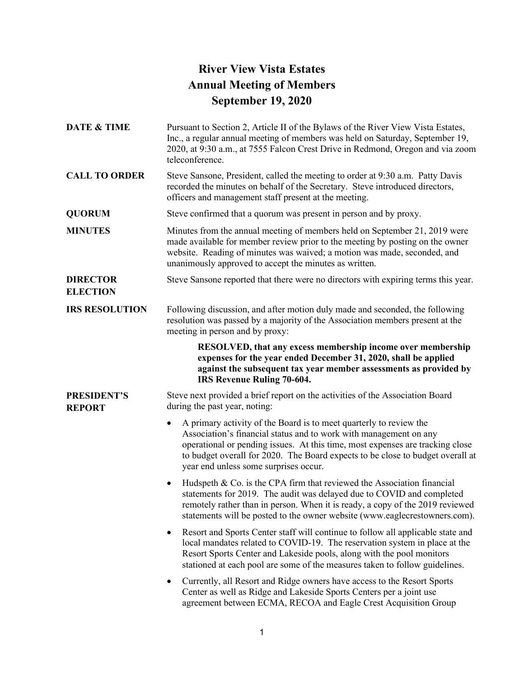## **River View Vista Estates Annual Meeting of Members September 19, 2020**

**DATE & TIME** Pursuant to Section 2, Article II of the Bylaws of the River View Vista Estates, Inc., a regular annual meeting of members was held on Saturday, September 19, 2020, at 9:30 a.m., at 7555 Falcon Crest Drive in Redmond, Oregon and via zoom teleconference. **CALL TO ORDER** Steve Sansone, President, called the meeting to order at 9:30 a.m. Patty Davis recorded the minutes on behalf of the Secretary. Steve introduced directors, officers and management staff present at the meeting. **QUORUM** Steve confirmed that a quorum was present in person and by proxy. **MINUTES** Minutes from the annual meeting of members held on September 21, 2019 were made available for member review prior to the meeting by posting on the owner website. Reading of minutes was waived; a motion was made, seconded, and unanimously approved to accept the minutes as written. **DIRECTOR ELECTION** Steve Sansone reported that there were no directors with expiring terms this year. **IRS RESOLUTION** Following discussion, and after motion duly made and seconded, the following resolution was passed by a majority of the Association members present at the meeting in person and by proxy: **RESOLVED, that any excess membership income over membership expenses for the year ended December 31, 2020, shall be applied against the subsequent tax year member assessments as provided by IRS Revenue Ruling 70-604. PRESIDENT'S REPORT** Steve next provided a brief report on the activities of the Association Board during the past year, noting: • A primary activity of the Board is to meet quarterly to review the Association's financial status and to work with management on any operational or pending issues. At this time, most expenses are tracking close to budget overall for 2020. The Board expects to be close to budget overall at year end unless some surprises occur. • Hudspeth & Co. is the CPA firm that reviewed the Association financial statements for 2019. The audit was delayed due to COVID and completed remotely rather than in person. When it is ready, a copy of the 2019 reviewed statements will be posted to the owner website (www.eaglecrestowners.com). Resort and Sports Center staff will continue to follow all applicable state and local mandates related to COVID-19. The reservation system in place at the Resort Sports Center and Lakeside pools, along with the pool monitors stationed at each pool are some of the measures taken to follow guidelines. • Currently, all Resort and Ridge owners have access to the Resort Sports Center as well as Ridge and Lakeside Sports Centers per a joint use agreement between ECMA, RECOA and Eagle Crest Acquisition Group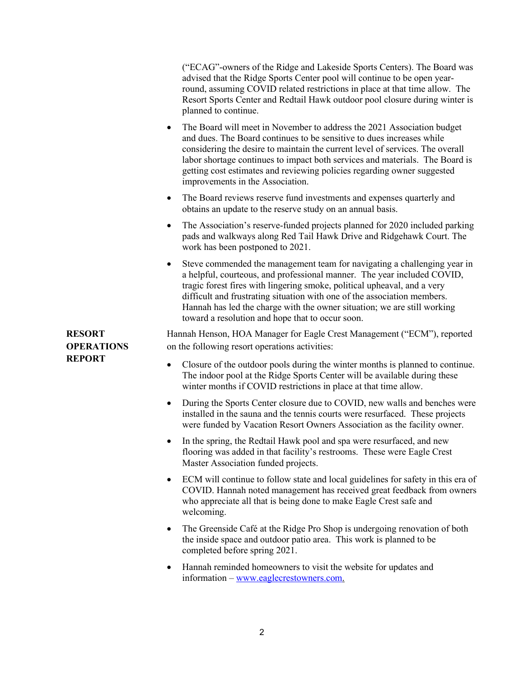("ECAG"-owners of the Ridge and Lakeside Sports Centers). The Board was advised that the Ridge Sports Center pool will continue to be open yearround, assuming COVID related restrictions in place at that time allow. The Resort Sports Center and Redtail Hawk outdoor pool closure during winter is planned to continue.

- The Board will meet in November to address the 2021 Association budget and dues. The Board continues to be sensitive to dues increases while considering the desire to maintain the current level of services. The overall labor shortage continues to impact both services and materials. The Board is getting cost estimates and reviewing policies regarding owner suggested improvements in the Association.
- The Board reviews reserve fund investments and expenses quarterly and obtains an update to the reserve study on an annual basis.
- The Association's reserve-funded projects planned for 2020 included parking pads and walkways along Red Tail Hawk Drive and Ridgehawk Court. The work has been postponed to 2021.
- Steve commended the management team for navigating a challenging year in a helpful, courteous, and professional manner. The year included COVID, tragic forest fires with lingering smoke, political upheaval, and a very difficult and frustrating situation with one of the association members. Hannah has led the charge with the owner situation; we are still working toward a resolution and hope that to occur soon.

Hannah Henson, HOA Manager for Eagle Crest Management ("ECM"), reported on the following resort operations activities:

**RESORT OPERATIONS** 

**REPORT**

- Closure of the outdoor pools during the winter months is planned to continue. The indoor pool at the Ridge Sports Center will be available during these winter months if COVID restrictions in place at that time allow.
- During the Sports Center closure due to COVID, new walls and benches were installed in the sauna and the tennis courts were resurfaced. These projects were funded by Vacation Resort Owners Association as the facility owner.
- In the spring, the Redtail Hawk pool and spa were resurfaced, and new flooring was added in that facility's restrooms. These were Eagle Crest Master Association funded projects.
- ECM will continue to follow state and local guidelines for safety in this era of COVID. Hannah noted management has received great feedback from owners who appreciate all that is being done to make Eagle Crest safe and welcoming.
- The Greenside Café at the Ridge Pro Shop is undergoing renovation of both the inside space and outdoor patio area. This work is planned to be completed before spring 2021.
- Hannah reminded homeowners to visit the website for updates and information – [www.eaglecrestowners.com.](http://www.eaglecrestowners.com/)